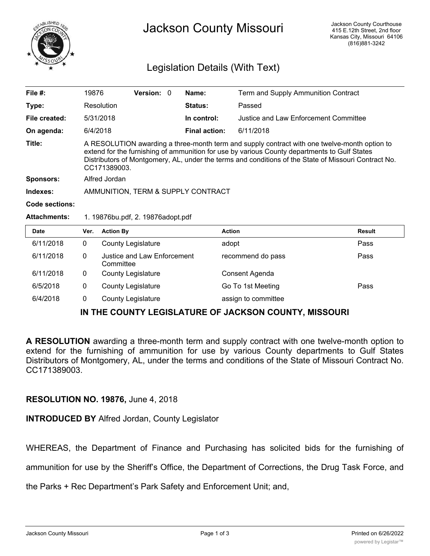

## Legislation Details (With Text)

| File $#$ :          | 19876                                                                                                                                                                                                                                                                                                                |                                          | <b>Version: 0</b> |  | Name:                | Term and Supply Ammunition Contract   |        |  |  |
|---------------------|----------------------------------------------------------------------------------------------------------------------------------------------------------------------------------------------------------------------------------------------------------------------------------------------------------------------|------------------------------------------|-------------------|--|----------------------|---------------------------------------|--------|--|--|
| Type:               |                                                                                                                                                                                                                                                                                                                      | Resolution                               |                   |  | Status:              | Passed                                |        |  |  |
| File created:       |                                                                                                                                                                                                                                                                                                                      | 5/31/2018                                |                   |  | In control:          | Justice and Law Enforcement Committee |        |  |  |
| On agenda:          | 6/4/2018                                                                                                                                                                                                                                                                                                             |                                          |                   |  | <b>Final action:</b> | 6/11/2018                             |        |  |  |
| Title:              | A RESOLUTION awarding a three-month term and supply contract with one twelve-month option to<br>extend for the furnishing of ammunition for use by various County departments to Gulf States<br>Distributors of Montgomery, AL, under the terms and conditions of the State of Missouri Contract No.<br>CC171389003. |                                          |                   |  |                      |                                       |        |  |  |
| Sponsors:           | Alfred Jordan                                                                                                                                                                                                                                                                                                        |                                          |                   |  |                      |                                       |        |  |  |
| Indexes:            | AMMUNITION, TERM & SUPPLY CONTRACT                                                                                                                                                                                                                                                                                   |                                          |                   |  |                      |                                       |        |  |  |
| Code sections:      |                                                                                                                                                                                                                                                                                                                      |                                          |                   |  |                      |                                       |        |  |  |
| <b>Attachments:</b> | 1. 19876bu.pdf, 2. 19876adopt.pdf                                                                                                                                                                                                                                                                                    |                                          |                   |  |                      |                                       |        |  |  |
| <b>Date</b>         | Ver.                                                                                                                                                                                                                                                                                                                 | <b>Action By</b>                         |                   |  |                      | <b>Action</b>                         | Result |  |  |
| 6/11/2018           | $\Omega$                                                                                                                                                                                                                                                                                                             | <b>County Legislature</b>                |                   |  |                      | adopt                                 | Pass   |  |  |
| 6/11/2018           | $\Omega$                                                                                                                                                                                                                                                                                                             | Justice and Law Enforcement<br>Committee |                   |  |                      | recommend do pass                     | Pass   |  |  |

| 6/11/2018 | 0 | County Legislature | Consent Agenda      |      |
|-----------|---|--------------------|---------------------|------|
| 6/5/2018  |   | County Legislature | Go To 1st Meeting   | Pass |
| 6/4/2018  |   | County Legislature | assign to committee |      |

## **IN THE COUNTY LEGISLATURE OF JACKSON COUNTY, MISSOURI**

**A RESOLUTION** awarding a three-month term and supply contract with one twelve-month option to extend for the furnishing of ammunition for use by various County departments to Gulf States Distributors of Montgomery, AL, under the terms and conditions of the State of Missouri Contract No. CC171389003.

## **RESOLUTION NO. 19876,** June 4, 2018

**INTRODUCED BY** Alfred Jordan, County Legislator

WHEREAS, the Department of Finance and Purchasing has solicited bids for the furnishing of

ammunition for use by the Sheriff's Office, the Department of Corrections, the Drug Task Force, and

the Parks + Rec Department's Park Safety and Enforcement Unit; and,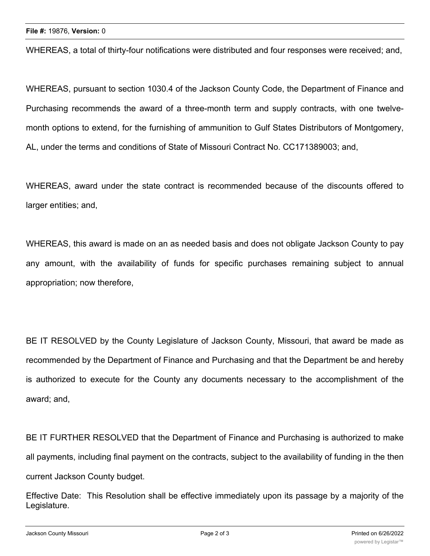WHEREAS, a total of thirty-four notifications were distributed and four responses were received; and,

WHEREAS, pursuant to section 1030.4 of the Jackson County Code, the Department of Finance and Purchasing recommends the award of a three-month term and supply contracts, with one twelvemonth options to extend, for the furnishing of ammunition to Gulf States Distributors of Montgomery, AL, under the terms and conditions of State of Missouri Contract No. CC171389003; and,

WHEREAS, award under the state contract is recommended because of the discounts offered to larger entities; and,

WHEREAS, this award is made on an as needed basis and does not obligate Jackson County to pay any amount, with the availability of funds for specific purchases remaining subject to annual appropriation; now therefore,

BE IT RESOLVED by the County Legislature of Jackson County, Missouri, that award be made as recommended by the Department of Finance and Purchasing and that the Department be and hereby is authorized to execute for the County any documents necessary to the accomplishment of the award; and,

BE IT FURTHER RESOLVED that the Department of Finance and Purchasing is authorized to make all payments, including final payment on the contracts, subject to the availability of funding in the then current Jackson County budget.

Effective Date: This Resolution shall be effective immediately upon its passage by a majority of the Legislature.